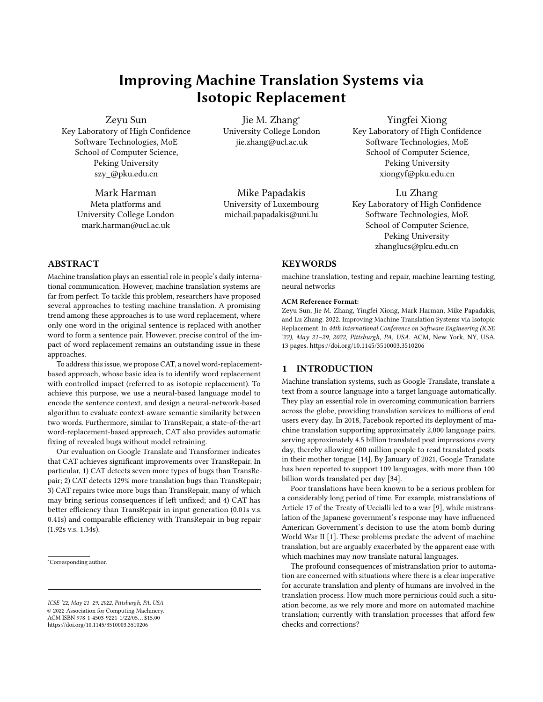# Improving Machine Translation Systems via Isotopic Replacement

Zeyu Sun

Key Laboratory of High Confidence Software Technologies, MoE School of Computer Science, Peking University szy\_@pku.edu.cn

Mark Harman

Meta platforms and University College London mark.harman@ucl.ac.uk

Jie M. Zhang<sup>∗</sup> University College London jie.zhang@ucl.ac.uk

Mike Papadakis University of Luxembourg michail.papadakis@uni.lu

Yingfei Xiong Key Laboratory of High Confidence Software Technologies, MoE School of Computer Science, Peking University xiongyf@pku.edu.cn

Lu Zhang Key Laboratory of High Confidence Software Technologies, MoE School of Computer Science, Peking University zhanglucs@pku.edu.cn

# ABSTRACT

Machine translation plays an essential role in people's daily international communication. However, machine translation systems are far from perfect. To tackle this problem, researchers have proposed several approaches to testing machine translation. A promising trend among these approaches is to use word replacement, where only one word in the original sentence is replaced with another word to form a sentence pair. However, precise control of the impact of word replacement remains an outstanding issue in these approaches.

To address this issue, we propose CAT, a novel word-replacementbased approach, whose basic idea is to identify word replacement with controlled impact (referred to as isotopic replacement). To achieve this purpose, we use a neural-based language model to encode the sentence context, and design a neural-network-based algorithm to evaluate context-aware semantic similarity between two words. Furthermore, similar to TransRepair, a state-of-the-art word-replacement-based approach, CAT also provides automatic fixing of revealed bugs without model retraining.

Our evaluation on Google Translate and Transformer indicates that CAT achieves significant improvements over TransRepair. In particular, 1) CAT detects seven more types of bugs than TransRepair; 2) CAT detects 129% more translation bugs than TransRepair; 3) CAT repairs twice more bugs than TransRepair, many of which may bring serious consequences if left unfixed; and 4) CAT has better efficiency than TransRepair in input generation (0.01s v.s. 0.41s) and comparable efficiency with TransRepair in bug repair (1.92s v.s. 1.34s).

# **KEYWORDS**

machine translation, testing and repair, machine learning testing, neural networks

#### ACM Reference Format:

Zeyu Sun, Jie M. Zhang, Yingfei Xiong, Mark Harman, Mike Papadakis, and Lu Zhang. 2022. Improving Machine Translation Systems via Isotopic Replacement. In 44th International Conference on Software Engineering (ICSE '22), May 21–29, 2022, Pittsburgh, PA, USA. ACM, New York, NY, USA, [13](#page-12-0) pages.<https://doi.org/10.1145/3510003.3510206>

#### <span id="page-0-0"></span>1 INTRODUCTION

Machine translation systems, such as Google Translate, translate a text from a source language into a target language automatically. They play an essential role in overcoming communication barriers across the globe, providing translation services to millions of end users every day. In 2018, Facebook reported its deployment of machine translation supporting approximately 2,000 language pairs, serving approximately 4.5 billion translated post impressions every day, thereby allowing 600 million people to read translated posts in their mother tongue [\[14\]](#page-11-0). By January of 2021, Google Translate has been reported to support 109 languages, with more than 100 billion words translated per day [\[34\]](#page-11-1).

Poor translations have been known to be a serious problem for a considerably long period of time. For example, mistranslations of Article 17 of the Treaty of Uccialli led to a war [\[9\]](#page-11-2), while mistranslation of the Japanese government's response may have influenced American Government's decision to use the atom bomb during World War II [\[1\]](#page-11-3). These problems predate the advent of machine translation, but are arguably exacerbated by the apparent ease with which machines may now translate natural languages.

The profound consequences of mistranslation prior to automation are concerned with situations where there is a clear imperative for accurate translation and plenty of humans are involved in the translation process. How much more pernicious could such a situation become, as we rely more and more on automated machine translation; currently with translation processes that afford few checks and corrections?

<sup>∗</sup>Corresponding author.

ICSE '22, May 21–29, 2022, Pittsburgh, PA, USA © 2022 Association for Computing Machinery. ACM ISBN 978-1-4503-9221-1/22/05. . . \$15.00 <https://doi.org/10.1145/3510003.3510206>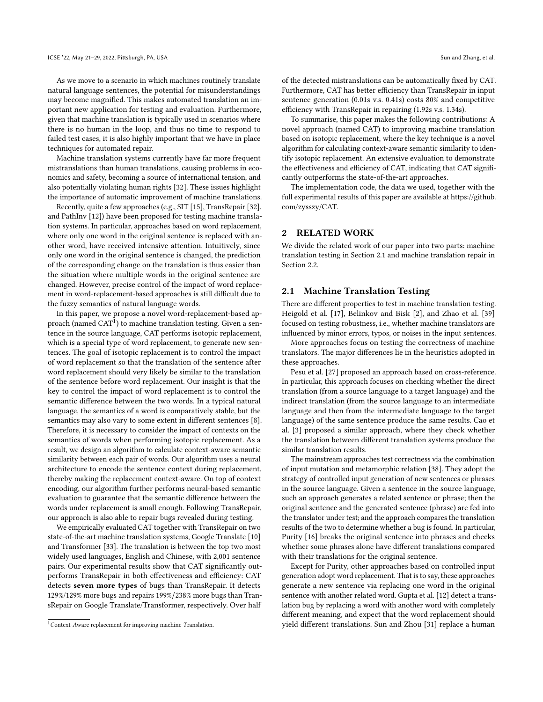As we move to a scenario in which machines routinely translate natural language sentences, the potential for misunderstandings may become magnified. This makes automated translation an important new application for testing and evaluation. Furthermore, given that machine translation is typically used in scenarios where there is no human in the loop, and thus no time to respond to failed test cases, it is also highly important that we have in place techniques for automated repair.

Machine translation systems currently have far more frequent mistranslations than human translations, causing problems in economics and safety, becoming a source of international tension, and also potentially violating human rights [\[32\]](#page-11-4). These issues highlight the importance of automatic improvement of machine translations.

Recently, quite a few approaches (e.g., SIT [\[15\]](#page-11-5), TransRepair [\[32\]](#page-11-4), and PathInv [\[12\]](#page-11-6)) have been proposed for testing machine translation systems. In particular, approaches based on word replacement, where only one word in the original sentence is replaced with another word, have received intensive attention. Intuitively, since only one word in the original sentence is changed, the prediction of the corresponding change on the translation is thus easier than the situation where multiple words in the original sentence are changed. However, precise control of the impact of word replacement in word-replacement-based approaches is still difficult due to the fuzzy semantics of natural language words.

In this paper, we propose a novel word-replacement-based approach (named  $CAT^1$  $CAT^1$ ) to machine translation testing. Given a sentence in the source language, CAT performs isotopic replacement, which is a special type of word replacement, to generate new sentences. The goal of isotopic replacement is to control the impact of word replacement so that the translation of the sentence after word replacement should very likely be similar to the translation of the sentence before word replacement. Our insight is that the key to control the impact of word replacement is to control the semantic difference between the two words. In a typical natural language, the semantics of a word is comparatively stable, but the semantics may also vary to some extent in different sentences [\[8\]](#page-11-7). Therefore, it is necessary to consider the impact of contexts on the semantics of words when performing isotopic replacement. As a result, we design an algorithm to calculate context-aware semantic similarity between each pair of words. Our algorithm uses a neural architecture to encode the sentence context during replacement, thereby making the replacement context-aware. On top of context encoding, our algorithm further performs neural-based semantic evaluation to guarantee that the semantic difference between the words under replacement is small enough. Following TransRepair, our approach is also able to repair bugs revealed during testing.

We empirically evaluated CAT together with TransRepair on two state-of-the-art machine translation systems, Google Translate [\[10\]](#page-11-8) and Transformer [\[33\]](#page-11-9). The translation is between the top two most widely used languages, English and Chinese, with 2,001 sentence pairs. Our experimental results show that CAT significantly outperforms TransRepair in both effectiveness and efficiency: CAT detects seven more types of bugs than TransRepair. It detects 129%/129% more bugs and repairs 199%/238% more bugs than TransRepair on Google Translate/Transformer, respectively. Over half

of the detected mistranslations can be automatically fixed by CAT. Furthermore, CAT has better efficiency than TransRepair in input sentence generation (0.01s v.s. 0.41s) costs 80% and competitive efficiency with TransRepair in repairing (1.92s v.s. 1.34s).

To summarise, this paper makes the following contributions: A novel approach (named CAT) to improving machine translation based on isotopic replacement, where the key technique is a novel algorithm for calculating context-aware semantic similarity to identify isotopic replacement. An extensive evaluation to demonstrate the effectiveness and efficiency of CAT, indicating that CAT significantly outperforms the state-of-the-art approaches.

The implementation code, the data we used, together with the full experimental results of this paper are available at [https://github.](https://github.com/zysszy/CAT) [com/zysszy/CAT.](https://github.com/zysszy/CAT)

# <span id="page-1-2"></span>2 RELATED WORK

We divide the related work of our paper into two parts: machine translation testing in Section [2.1](#page-1-1) and machine translation repair in Section [2.2.](#page-2-0)

# <span id="page-1-1"></span>2.1 Machine Translation Testing

There are different properties to test in machine translation testing. Heigold et al. [\[17\]](#page-11-10), Belinkov and Bisk [\[2\]](#page-11-11), and Zhao et al. [\[39\]](#page-12-1) focused on testing robustness, i.e., whether machine translators are influenced by minor errors, typos, or noises in the input sentences.

More approaches focus on testing the correctness of machine translators. The major differences lie in the heuristics adopted in these approaches.

Pesu et al. [\[27\]](#page-11-12) proposed an approach based on cross-reference. In particular, this approach focuses on checking whether the direct translation (from a source language to a target language) and the indirect translation (from the source language to an intermediate language and then from the intermediate language to the target language) of the same sentence produce the same results. Cao et al. [\[3\]](#page-11-13) proposed a similar approach, where they check whether the translation between different translation systems produce the similar translation results.

The mainstream approaches test correctness via the combination of input mutation and metamorphic relation [\[38\]](#page-11-14). They adopt the strategy of controlled input generation of new sentences or phrases in the source language. Given a sentence in the source language, such an approach generates a related sentence or phrase; then the original sentence and the generated sentence (phrase) are fed into the translator under test; and the approach compares the translation results of the two to determine whether a bug is found. In particular, Purity [\[16\]](#page-11-15) breaks the original sentence into phrases and checks whether some phrases alone have different translations compared with their translations for the original sentence.

Except for Purity, other approaches based on controlled input generation adopt word replacement. That is to say, these approaches generate a new sentence via replacing one word in the original sentence with another related word. Gupta et al. [\[12\]](#page-11-6) detect a translation bug by replacing a word with another word with completely different meaning, and expect that the word replacement should yield different translations. Sun and Zhou [\[31\]](#page-11-16) replace a human

<span id="page-1-0"></span><sup>&</sup>lt;sup>1</sup> Context-Aware replacement for improving machine Translation.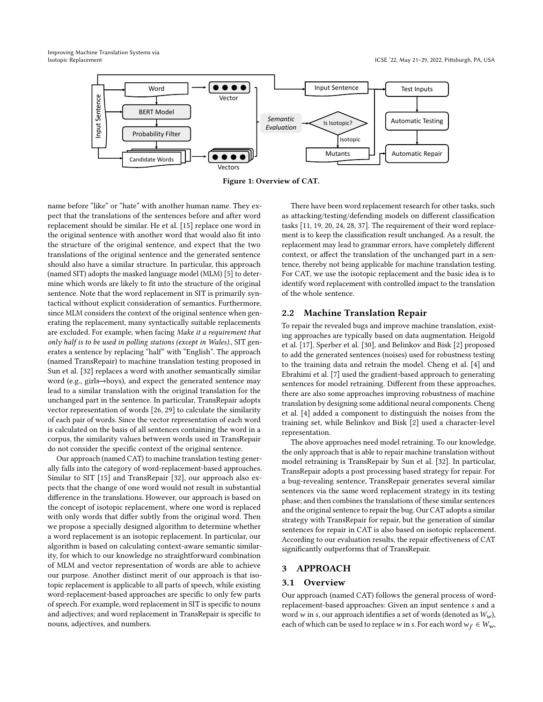<span id="page-2-1"></span>Improving Machine Translation Systems via



Figure 1: Overview of CAT.

name before "like" or "hate" with another human name. They expect that the translations of the sentences before and after word replacement should be similar. He et al. [\[15\]](#page-11-5) replace one word in the original sentence with another word that would also fit into the structure of the original sentence, and expect that the two translations of the original sentence and the generated sentence should also have a similar structure. In particular, this approach (named SIT) adopts the masked language model (MLM) [\[5\]](#page-11-17) to determine which words are likely to fit into the structure of the original sentence. Note that the word replacement in SIT is primarily syntactical without explicit consideration of semantics. Furthermore, since MLM considers the context of the original sentence when generating the replacement, many syntactically suitable replacements are excluded. For example, when facing Make it a requirement that only half is to be used in polling stations (except in Wales)., SIT generates a sentence by replacing "half" with "English". The approach (named TransRepair) to machine translation testing proposed in Sun et al. [\[32\]](#page-11-4) replaces a word with another semantically similar word (e.g., girls→boys), and expect the generated sentence may lead to a similar translation with the original translation for the unchanged part in the sentence. In particular, TransRepair adopts vector representation of words [\[26,](#page-11-18) [29\]](#page-11-19) to calculate the similarity of each pair of words. Since the vector representation of each word is calculated on the basis of all sentences containing the word in a corpus, the similarity values between words used in TransRepair do not consider the specific context of the original sentence.

Our approach (named CAT) to machine translation testing generally falls into the category of word-replacement-based approaches. Similar to SIT [\[15\]](#page-11-5) and TransRepair [\[32\]](#page-11-4), our approach also expects that the change of one word would not result in substantial difference in the translations. However, our approach is based on the concept of isotopic replacement, where one word is replaced with only words that differ subtly from the original word. Then we propose a specially designed algorithm to determine whether a word replacement is an isotopic replacement. In particular, our algorithm is based on calculating context-aware semantic similarity, for which to our knowledge no straightforward combination of MLM and vector representation of words are able to achieve our purpose. Another distinct merit of our approach is that isotopic replacement is applicable to all parts of speech, while existing word-replacement-based approaches are specific to only few parts of speech. For example, word replacement in SIT is specific to nouns and adjectives; and word replacement in TransRepair is specific to nouns, adjectives, and numbers.

There have been word replacement research for other tasks, such as attacking/testing/defending models on different classification tasks [\[11,](#page-11-20) [19,](#page-11-21) [20,](#page-11-22) [24,](#page-11-23) [28,](#page-11-24) [37\]](#page-11-25). The requirement of their word replacement is to keep the classification result unchanged. As a result, the replacement may lead to grammar errors, have completely different context, or affect the translation of the unchanged part in a sentence, thereby not being applicable for machine translation testing. For CAT, we use the isotopic replacement and the basic idea is to identify word replacement with controlled impact to the translation of the whole sentence.

#### <span id="page-2-0"></span>2.2 Machine Translation Repair

To repair the revealed bugs and improve machine translation, existing approaches are typically based on data augmentation. Heigold et al. [\[17\]](#page-11-10), Sperber et al. [\[30\]](#page-11-26), and Belinkov and Bisk [\[2\]](#page-11-11) proposed to add the generated sentences (noises) used for robustness testing to the training data and retrain the model. Cheng et al. [\[4\]](#page-11-27) and Ebrahimi et al. [\[7\]](#page-11-28) used the gradient-based approach to generating sentences for model retraining. Different from these approaches, there are also some approaches improving robustness of machine translation by designing some additional neural components. Cheng et al. [\[4\]](#page-11-27) added a component to distinguish the noises from the training set, while Belinkov and Bisk [\[2\]](#page-11-11) used a character-level representation.

The above approaches need model retraining. To our knowledge, the only approach that is able to repair machine translation without model retraining is TransRepair by Sun et al. [\[32\]](#page-11-4). In particular, TransRepair adopts a post processing based strategy for repair. For a bug-revealing sentence, TransRepair generates several similar sentences via the same word replacement strategy in its testing phase; and then combines the translations of these similar sentences and the original sentence to repair the bug. Our CAT adopts a similar strategy with TransRepair for repair, but the generation of similar sentences for repair in CAT is also based on isotopic replacement. According to our evaluation results, the repair effectiveness of CAT significantly outperforms that of TransRepair.

#### 3 APPROACH

#### 3.1 Overview

Our approach (named CAT) follows the general process of wordreplacement-based approaches: Given an input sentence s and a word w in s, our approach identifies a set of words (denoted as  $W_w$ ), each of which can be used to replace w in s. For each word  $w_f \in W_w$ ,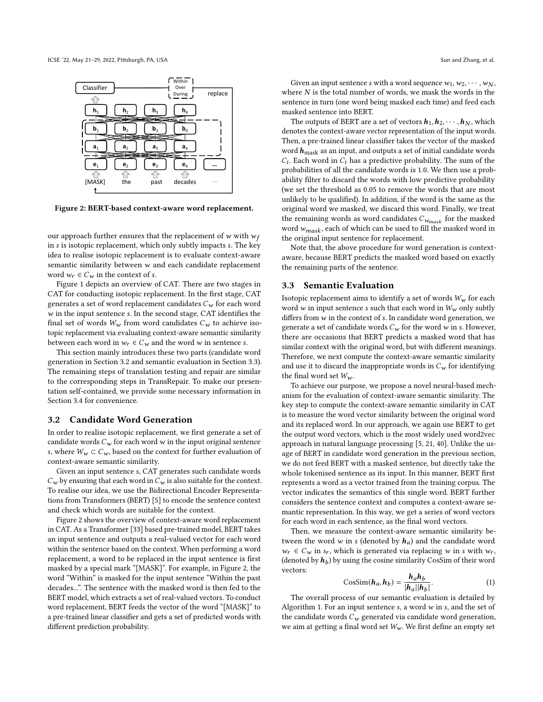<span id="page-3-2"></span>

Figure 2: BERT-based context-aware word replacement.

our approach further ensures that the replacement of  $w$  with  $w_f$ in *s* is isotopic replacement, which only subtly impacts *s*. The key idea to realise isotopic replacement is to evaluate context-aware semantic similarity between  $w$  and each candidate replacement word  $w_r \in C_w$  in the context of s.

Figure [1](#page-2-1) depicts an overview of CAT. There are two stages in CAT for conducting isotopic replacement. In the first stage, CAT generates a set of word replacement candidates  $C_w$  for each word  $w$  in the input sentence  $s$ . In the second stage, CAT identifies the final set of words  $W_w$  from word candidates  $C_w$  to achieve isotopic replacement via evaluating context-aware semantic similarity between each word in  $w_r \in C_w$  and the word w in sentence s.

This section mainly introduces these two parts (candidate word generation in Section [3.2](#page-3-0) and semantic evaluation in Section [3.3\)](#page-3-1). The remaining steps of translation testing and repair are similar to the corresponding steps in TransRepair. To make our presentation self-contained, we provide some necessary information in Section [3.4](#page-4-0) for convenience.

# <span id="page-3-0"></span>3.2 Candidate Word Generation

In order to realise isotopic replacement, we first generate a set of candidate words  $C_w$  for each word  $w$  in the input original sentence s, where  $W_w \subset C_w$ , based on the context for further evaluation of context-aware semantic similarity.

Given an input sentence s, CAT generates such candidate words  $C_w$  by ensuring that each word in  $C_w$  is also suitable for the context. To realise our idea, we use the Bidirectional Encoder Representations from Transformers (BERT) [\[5\]](#page-11-17) to encode the sentence context and check which words are suitable for the context.

Figure [2](#page-3-2) shows the overview of context-aware word replacement in CAT. As a Transformer [\[33\]](#page-11-9) based pre-trained model, BERT takes an input sentence and outputs a real-valued vector for each word within the sentence based on the context. When performing a word replacement, a word to be replaced in the input sentence is first masked by a special mark "[MASK]". For example, in Figure [2,](#page-3-2) the word "Within" is masked for the input sentence "Within the past decades...". The sentence with the masked word is then fed to the BERT model, which extracts a set of real-valued vectors. To conduct word replacement, BERT feeds the vector of the word "[MASK]" to a pre-trained linear classifier and gets a set of predicted words with different prediction probability.

Given an input sentence *s* with a word sequence  $w_1, w_2, \dots, w_N$ , where  $N$  is the total number of words, we mask the words in the sentence in turn (one word being masked each time) and feed each masked sentence into BERT.

The outputs of BERT are a set of vectors  $h_1, h_2, \cdots, h_N$ , which denotes the context-aware vector representation of the input words. Then, a pre-trained linear classifier takes the vector of the masked word  $h_{\text{mask}}$  as an input, and outputs a set of initial candidate words  $C_i$ . Each word in  $C_i$  has a predictive probability. The sum of the probabilities of all the candidate words is 1.0. We then use a probability filter to discard the words with low predictive probability (we set the threshold as 0.05 to remove the words that are most unlikely to be qualified). In addition, if the word is the same as the original word we masked, we discard this word. Finally, we treat the remaining words as word candidates  $C_{w_{mask}}$  for the masked word  $w_{mask}$ , each of which can be used to fill the masked word in the original input sentence for replacement.

Note that, the above procedure for word generation is contextaware, because BERT predicts the masked word based on exactly the remaining parts of the sentence.

#### <span id="page-3-1"></span>3.3 Semantic Evaluation

Isotopic replacement aims to identify a set of words  $W_w$  for each word  $w$  in input sentence  $s$  such that each word in  $W_w$  only subtly differs from  $w$  in the context of  $s$ . In candidate word generation, we generate a set of candidate words  $C_w$  for the word w in s. However, there are occasions that BERT predicts a masked word that has similar context with the original word, but with different meanings. Therefore, we next compute the context-aware semantic similarity and use it to discard the inappropriate words in  $C_w$  for identifying the final word set  $W_w$ .

To achieve our purpose, we propose a novel neural-based mechanism for the evaluation of context-aware semantic similarity. The key step to compute the context-aware semantic similarity in CAT is to measure the word vector similarity between the original word and its replaced word. In our approach, we again use BERT to get the output word vectors, which is the most widely used word2vec approach in natural language processing [\[5,](#page-11-17) [21,](#page-11-29) [40\]](#page-12-2). Unlike the usage of BERT in candidate word generation in the previous section, we do not feed BERT with a masked sentence, but directly take the whole tokenised sentence as its input. In this manner, BERT first represents a word as a vector trained from the training corpus. The vector indicates the semantics of this single word. BERT further considers the sentence context and computes a context-aware semantic representation. In this way, we get a series of word vectors for each word in each sentence, as the final word vectors.

Then, we measure the context-aware semantic similarity between the word  $w$  in  $s$  (denoted by  $h_a$ ) and the candidate word  $w_r \in C_w$  in  $s_r$ , which is generated via replacing w in s with  $w_r$ , (denoted by  $\boldsymbol{h}_b$ ) by using the cosine similarity CosSim of their word vectors:

$$
\text{CosSim}(\boldsymbol{h}_a, \boldsymbol{h}_b) = \frac{\boldsymbol{h}_a \boldsymbol{h}_b}{|\boldsymbol{h}_a||\boldsymbol{h}_b|}.
$$
 (1)

The overall process of our semantic evaluation is detailed by Algorithm [1.](#page-4-1) For an input sentence  $s$ , a word  $w$  in  $s$ , and the set of the candidate words  $C_w$  generated via candidate word generation, we aim at getting a final word set  $W_w$ . We first define an empty set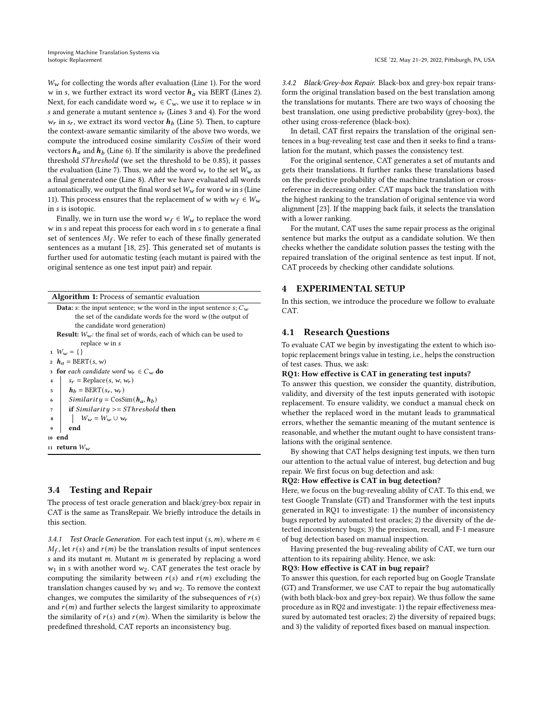$W_w$  for collecting the words after evaluation (Line 1). For the word  $w$  in s, we further extract its word vector  $h_a$  via BERT (Lines 2). Next, for each candidate word  $w_r \in C_w$ , we use it to replace w in s and generate a mutant sentence  $s_r$  (Lines 3 and 4). For the word  $w_r$  in  $s_r$ , we extract its word vector  $h_b$  (Line 5). Then, to capture the context-aware semantic similarity of the above two words, we compute the introduced cosine similarity CosSim of their word vectors  $h_a$  and  $h_b$  (Line 6). If the similarity is above the predefined threshold SThreshold (we set the threshold to be 0.85), it passes the evaluation (Line 7). Thus, we add the word  $w_r$  to the set  $W_w$  as a final generated one (Line 8). After we have evaluated all words automatically, we output the final word set  $W_w$  for word w in s (Line 11). This process ensures that the replacement of w with  $w_f \in W_w$ in s is isotopic.

Finally, we in turn use the word  $w_f \in W_w$  to replace the word  $w$  in  $s$  and repeat this process for each word in  $s$  to generate a final set of sentences  $M_f$ . We refer to each of these finally generated sentences as a mutant [\[18,](#page-11-30) [25\]](#page-11-31). This generated set of mutants is further used for automatic testing (each mutant is paired with the original sentence as one test input pair) and repair.

<span id="page-4-1"></span>

| <b>Algorithm 1:</b> Process of semantic evaluation                            |
|-------------------------------------------------------------------------------|
| <b>Data:</b> s: the input sentence; w the word in the input sentence s; $C_w$ |
| the set of the candidate words for the word $w$ (the output of                |
| the candidate word generation)                                                |
| <b>Result:</b> $W_w$ : the final set of words, each of which can be used to   |
| replace $w$ in s                                                              |
| 1 $W_w = \{\}$                                                                |
| 2 $h_a = BERT(s, w)$                                                          |
| <b>for</b> each candidate word $w_r \in C_w$ <b>do</b><br>3                   |
| $s_r$ = Replace(s, w, $w_r$ )<br>$\overline{\bf{4}}$                          |
| $h_h = BERT(s_r, w_r)$<br>5                                                   |
| Similarity = $\cos \sin(h_a, h_b)$<br>6                                       |
| if Similarity $>=$ SThreshold then<br>7                                       |
| $W_w = W_w \cup w_r$<br>8                                                     |
| end<br>9                                                                      |
| 10 end                                                                        |
| 11 return $W_w$                                                               |

# <span id="page-4-0"></span>3.4 Testing and Repair

The process of test oracle generation and black/grey-box repair in CAT is the same as TransRepair. We briefly introduce the details in this section.

3.4.1 Test Oracle Generation. For each test input  $(s, m)$ , where  $m \in$  $M_f$ , let  $r(s)$  and  $r(m)$  be the translation results of input sentences s and its mutant  $m$ . Mutant  $m$  is generated by replacing a word  $w_1$  in s with another word  $w_2$ . CAT generates the test oracle by computing the similarity between  $r(s)$  and  $r(m)$  excluding the translation changes caused by  $w_1$  and  $w_2$ . To remove the context changes, we computes the similarity of the subsequences of  $r(s)$ and  $r(m)$  and further selects the largest similarity to approximate the similarity of  $r(s)$  and  $r(m)$ . When the similarity is below the predefined threshold, CAT reports an inconsistency bug.

3.4.2 Black/Grey-box Repair. Black-box and grey-box repair transform the original translation based on the best translation among the translations for mutants. There are two ways of choosing the best translation, one using predictive probability (grey-box), the other using cross-reference (black-box).

In detail, CAT first repairs the translation of the original sentences in a bug-revealing test case and then it seeks to find a translation for the mutant, which passes the consistency test.

For the original sentence, CAT generates a set of mutants and gets their translations. It further ranks these translations based on the predictive probability of the machine translation or crossreference in decreasing order. CAT maps back the translation with the highest ranking to the translation of original sentence via word alignment [\[23\]](#page-11-32). If the mapping back fails, it selects the translation with a lower ranking.

For the mutant, CAT uses the same repair process as the original sentence but marks the output as a candidate solution. We then checks whether the candidate solution passes the testing with the repaired translation of the original sentence as test input. If not, CAT proceeds by checking other candidate solutions.

# 4 EXPERIMENTAL SETUP

In this section, we introduce the procedure we follow to evaluate CAT.

#### 4.1 Research Questions

To evaluate CAT we begin by investigating the extent to which isotopic replacement brings value in testing, i.e., helps the construction of test cases. Thus, we ask:

#### RQ1: How effective is CAT in generating test inputs?

To answer this question, we consider the quantity, distribution, validity, and diversity of the test inputs generated with isotopic replacement. To ensure validity, we conduct a manual check on whether the replaced word in the mutant leads to grammatical errors, whether the semantic meaning of the mutant sentence is reasonable, and whether the mutant ought to have consistent translations with the original sentence.

By showing that CAT helps designing test inputs, we then turn our attention to the actual value of interest, bug detection and bug repair. We first focus on bug detection and ask:

## RQ2: How effective is CAT in bug detection?

Here, we focus on the bug-revealing ability of CAT. To this end, we test Google Translate (GT) and Transformer with the test inputs generated in RQ1 to investigate: 1) the number of inconsistency bugs reported by automated test oracles; 2) the diversity of the detected inconsistency bugs; 3) the precision, recall, and F-1 measure of bug detection based on manual inspection.

Having presented the bug-revealing ability of CAT, we turn our attention to its repairing ability. Hence, we ask:

#### RQ3: How effective is CAT in bug repair?

To answer this question, for each reported bug on Google Translate (GT) and Transformer, we use CAT to repair the bug automatically (with both black-box and grey-box repair). We thus follow the same procedure as in RQ2 and investigate: 1) the repair effectiveness measured by automated test oracles; 2) the diversity of repaired bugs; and 3) the validity of reported fixes based on manual inspection.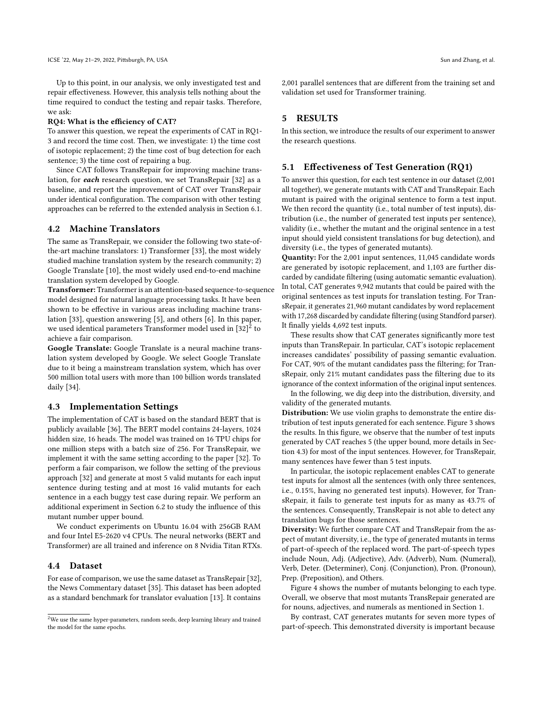Up to this point, in our analysis, we only investigated test and repair effectiveness. However, this analysis tells nothing about the time required to conduct the testing and repair tasks. Therefore, we ask:

#### RQ4: What is the efficiency of CAT?

To answer this question, we repeat the experiments of CAT in RQ1- 3 and record the time cost. Then, we investigate: 1) the time cost of isotopic replacement; 2) the time cost of bug detection for each sentence; 3) the time cost of repairing a bug.

Since CAT follows TransRepair for improving machine translation, for each research question, we set TransRepair [\[32\]](#page-11-4) as a baseline, and report the improvement of CAT over TransRepair under identical configuration. The comparison with other testing approaches can be referred to the extended analysis in Section [6.1.](#page-9-0)

#### 4.2 Machine Translators

The same as TransRepair, we consider the following two state-ofthe-art machine translators: 1) Transformer [\[33\]](#page-11-9), the most widely studied machine translation system by the research community; 2) Google Translate [\[10\]](#page-11-8), the most widely used end-to-end machine translation system developed by Google.

Transformer: Transformer is an attention-based sequence-to-sequence model designed for natural language processing tasks. It have been shown to be effective in various areas including machine translation [\[33\]](#page-11-9), question answering [\[5\]](#page-11-17), and others [\[6\]](#page-11-33). In this paper, we used identical parameters Transformer model used in  $\left[32\right]^{\bar{2}}$  $\left[32\right]^{\bar{2}}$  $\left[32\right]^{\bar{2}}$  to achieve a fair comparison.

Google Translate: Google Translate is a neural machine translation system developed by Google. We select Google Translate due to it being a mainstream translation system, which has over 500 million total users with more than 100 billion words translated daily [\[34\]](#page-11-1).

#### <span id="page-5-1"></span>4.3 Implementation Settings

The implementation of CAT is based on the standard BERT that is publicly available [\[36\]](#page-11-34). The BERT model contains 24-layers, 1024 hidden size, 16 heads. The model was trained on 16 TPU chips for one million steps with a batch size of 256. For TransRepair, we implement it with the same setting according to the paper [\[32\]](#page-11-4). To perform a fair comparison, we follow the setting of the previous approach [\[32\]](#page-11-4) and generate at most 5 valid mutants for each input sentence during testing and at most 16 valid mutants for each sentence in a each buggy test case during repair. We perform an additional experiment in Section [6.2](#page-10-0) to study the influence of this mutant number upper bound.

We conduct experiments on Ubuntu 16.04 with 256GB RAM and four Intel E5-2620 v4 CPUs. The neural networks (BERT and Transformer) are all trained and inference on 8 Nvidia Titan RTXs.

### 4.4 Dataset

For ease of comparison, we use the same dataset as TransRepair [\[32\]](#page-11-4), the News Commentary dataset [\[35\]](#page-11-35). This dataset has been adopted as a standard benchmark for translator evaluation [\[13\]](#page-11-36). It contains

2,001 parallel sentences that are different from the training set and validation set used for Transformer training.

#### 5 RESULTS

In this section, we introduce the results of our experiment to answer the research questions.

#### 5.1 Effectiveness of Test Generation (RQ1)

To answer this question, for each test sentence in our dataset (2,001 all together), we generate mutants with CAT and TransRepair. Each mutant is paired with the original sentence to form a test input. We then record the quantity (i.e., total number of test inputs), distribution (i.e., the number of generated test inputs per sentence), validity (i.e., whether the mutant and the original sentence in a test input should yield consistent translations for bug detection), and diversity (i.e., the types of generated mutants).

Quantity: For the 2,001 input sentences, 11,045 candidate words are generated by isotopic replacement, and 1,103 are further discarded by candidate filtering (using automatic semantic evaluation). In total, CAT generates 9,942 mutants that could be paired with the original sentences as test inputs for translation testing. For TransRepair, it generates 21,960 mutant candidates by word replacement with 17,268 discarded by candidate filtering (using Standford parser). It finally yields 4,692 test inputs.

These results show that CAT generates significantly more test inputs than TransRepair. In particular, CAT's isotopic replacement increases candidates' possibility of passing semantic evaluation. For CAT, 90% of the mutant candidates pass the filtering; for TransRepair, only 21% mutant candidates pass the filtering due to its ignorance of the context information of the original input sentences.

In the following, we dig deep into the distribution, diversity, and validity of the generated mutants.

Distribution: We use violin graphs to demonstrate the entire distribution of test inputs generated for each sentence. Figure [3](#page-6-0) shows the results. In this figure, we observe that the number of test inputs generated by CAT reaches 5 (the upper bound, more details in Section [4.3\)](#page-5-1) for most of the input sentences. However, for TransRepair, many sentences have fewer than 5 test inputs.

In particular, the isotopic replacement enables CAT to generate test inputs for almost all the sentences (with only three sentences, i.e., 0.15%, having no generated test inputs). However, for TransRepair, it fails to generate test inputs for as many as 43.7% of the sentences. Consequently, TransRepair is not able to detect any translation bugs for those sentences.

Diversity: We further compare CAT and TransRepair from the aspect of mutant diversity, i.e., the type of generated mutants in terms of part-of-speech of the replaced word. The part-of-speech types include Noun, Adj. (Adjective), Adv. (Adverb), Num. (Numeral), Verb, Deter. (Determiner), Conj. (Conjunction), Pron. (Pronoun), Prep. (Preposition), and Others.

Figure [4](#page-6-1) shows the number of mutants belonging to each type. Overall, we observe that most mutants TransRepair generated are for nouns, adjectives, and numerals as mentioned in Section [1.](#page-0-0)

By contrast, CAT generates mutants for seven more types of part-of-speech. This demonstrated diversity is important because

<span id="page-5-0"></span> $^{2}$  We use the same hyper-parameters, random seeds, deep learning library and trained the model for the same epochs.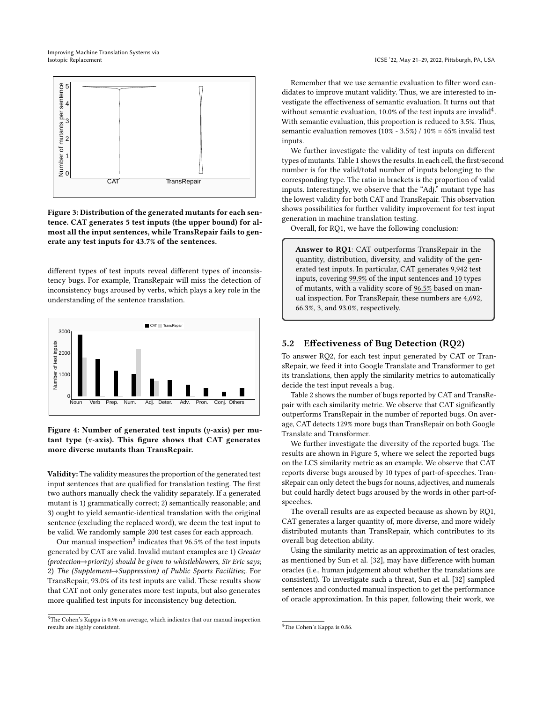Improving Machine Translation Systems via

<span id="page-6-0"></span>

Figure 3: Distribution of the generated mutants for each sentence. CAT generates 5 test inputs (the upper bound) for almost all the input sentences, while TransRepair fails to generate any test inputs for 43.7% of the sentences.

different types of test inputs reveal different types of inconsistency bugs. For example, TransRepair will miss the detection of inconsistency bugs aroused by verbs, which plays a key role in the understanding of the sentence translation.

<span id="page-6-1"></span>

Figure 4: Number of generated test inputs  $(y\text{-axis})$  per mutant type  $(x-axis)$ . This figure shows that CAT generates more diverse mutants than TransRepair.

Validity: The validity measures the proportion of the generated test input sentences that are qualified for translation testing. The first two authors manually check the validity separately. If a generated mutant is 1) grammatically correct; 2) semantically reasonable; and 3) ought to yield semantic-identical translation with the original sentence (excluding the replaced word), we deem the test input to be valid. We randomly sample 200 test cases for each approach.

Our manual inspection $^3$  $^3$  indicates that 96.5% of the test inputs generated by CAT are valid. Invalid mutant examples are 1) Greater (protection−→priority) should be given to whistleblowers, Sir Eric says; 2) The (Supplement→Suppression) of Public Sports Facilities;. For TransRepair, 93.0% of its test inputs are valid. These results show that CAT not only generates more test inputs, but also generates more qualified test inputs for inconsistency bug detection.

Remember that we use semantic evaluation to filter word candidates to improve mutant validity. Thus, we are interested to investigate the effectiveness of semantic evaluation. It turns out that without semantic evaluation, 10.0% of the test inputs are invalid<sup>[4](#page-6-3)</sup>. With semantic evaluation, this proportion is reduced to 3.5%. Thus, semantic evaluation removes (10% - 3.5%) / 10% = 65% invalid test inputs.

We further investigate the validity of test inputs on different types of mutants. Table [1](#page-7-0) shows the results. In each cell, the first/second number is for the valid/total number of inputs belonging to the corresponding type. The ratio in brackets is the proportion of valid inputs. Interestingly, we observe that the "Adj." mutant type has the lowest validity for both CAT and TransRepair. This observation shows possibilities for further validity improvement for test input generation in machine translation testing.

Overall, for RQ1, we have the following conclusion:

Answer to RQ1: CAT outperforms TransRepair in the quantity, distribution, diversity, and validity of the generated test inputs. In particular, CAT generates 9,942 test inputs, covering 99.9% of the input sentences and 10 types of mutants, with a validity score of 96.5% based on manual inspection. For TransRepair, these numbers are 4,692, 66.3%, 3, and 93.0%, respectively.

#### 5.2 Effectiveness of Bug Detection (RQ2)

To answer RQ2, for each test input generated by CAT or TransRepair, we feed it into Google Translate and Transformer to get its translations, then apply the similarity metrics to automatically decide the test input reveals a bug.

Table [2](#page-7-1) shows the number of bugs reported by CAT and TransRepair with each similarity metric. We observe that CAT significantly outperforms TransRepair in the number of reported bugs. On average, CAT detects 129% more bugs than TransRepair on both Google Translate and Transformer.

We further investigate the diversity of the reported bugs. The results are shown in Figure [5,](#page-7-2) where we select the reported bugs on the LCS similarity metric as an example. We observe that CAT reports diverse bugs aroused by 10 types of part-of-speeches. TransRepair can only detect the bugs for nouns, adjectives, and numerals but could hardly detect bugs aroused by the words in other part-ofspeeches.

The overall results are as expected because as shown by RQ1, CAT generates a larger quantity of, more diverse, and more widely distributed mutants than TransRepair, which contributes to its overall bug detection ability.

Using the similarity metric as an approximation of test oracles, as mentioned by Sun et al. [\[32\]](#page-11-4), may have difference with human oracles (i.e., human judgement about whether the translations are consistent). To investigate such a threat, Sun et al. [\[32\]](#page-11-4) sampled sentences and conducted manual inspection to get the performance of oracle approximation. In this paper, following their work, we

<span id="page-6-2"></span> ${}^{3}{\rm The}$  Cohen's Kappa is 0.96 on average, which indicates that our manual inspection results are highly consistent.

<span id="page-6-3"></span><sup>4</sup>The Cohen's Kappa is 0.86.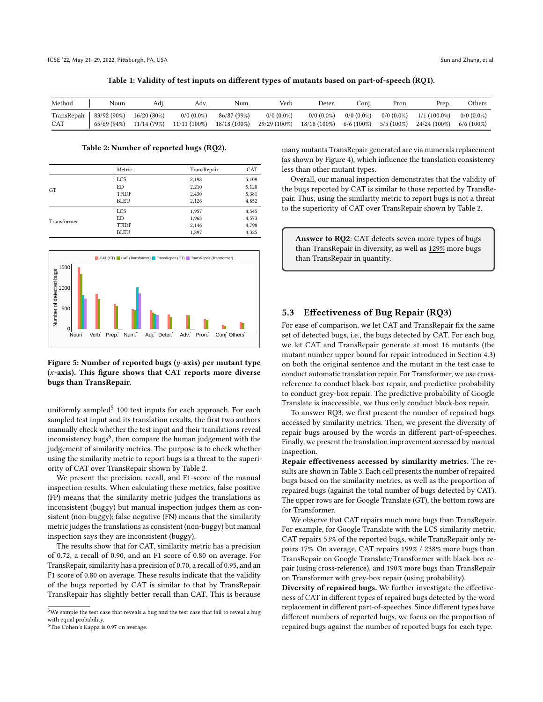Table 1: Validity of test inputs on different types of mutants based on part-of-speech (RQ1).

<span id="page-7-0"></span>

| Method                             | Noun       | Adj.                        | Adv.                              | Num.                          | Verb                            | Deter.                            | ∵oni.                           | Pron.                           | Prep.                          | Others                          |
|------------------------------------|------------|-----------------------------|-----------------------------------|-------------------------------|---------------------------------|-----------------------------------|---------------------------------|---------------------------------|--------------------------------|---------------------------------|
| TransRepair   $83/92(90\%)$<br>CAT | 65/69(94%) | $16/20(80\%)$<br>11/14(79%) | $0/0$ $(0.0\%)$<br>$11/11(100\%)$ | 86/87 (99%)<br>$18/18(100\%)$ | $0/0$ $(0.0\%)$<br>29/29 (100%) | $0/0$ $(0.0\%)$<br>$18/18(100\%)$ | $0/0$ $(0.0\%)$<br>$6/6$ (100%) | $0/0$ $(0.0\%)$<br>$5/5(100\%)$ | $1/1(100.0\%)$<br>24/24 (100%) | $0/0$ $(0.0\%)$<br>$6/6$ (100%) |
|                                    |            |                             |                                   |                               |                                 |                                   |                                 |                                 |                                |                                 |

Table 2: Number of reported bugs (RQ2).

<span id="page-7-1"></span>

|             | Metric       | TransRepair | CAT   |
|-------------|--------------|-------------|-------|
|             | <b>LCS</b>   | 2,198       | 5,109 |
| GT          | ED           | 2,210       | 5,128 |
|             | <b>TFIDF</b> | 2,430       | 5,381 |
|             | <b>BLEU</b>  | 2,126       | 4,852 |
|             | <b>LCS</b>   | 1,957       | 4,545 |
|             | ED           | 1,963       | 4,573 |
| Transformer | <b>TFIDF</b> | 2,146       | 4,798 |
|             | <b>BLEU</b>  | 1,897       | 4,325 |

<span id="page-7-2"></span>

Figure 5: Number of reported bugs  $(y$ -axis) per mutant type  $(x-axis)$ . This figure shows that CAT reports more diverse bugs than TransRepair.

uniformly sampled<sup>[5](#page-7-3)</sup> 100 test inputs for each approach. For each sampled test input and its translation results, the first two authors manually check whether the test input and their translations reveal inconsistency bugs<sup>[6](#page-7-4)</sup>, then compare the human judgement with the judgement of similarity metrics. The purpose is to check whether using the similarity metric to report bugs is a threat to the superiority of CAT over TransRepair shown by Table [2.](#page-7-1)

We present the precision, recall, and F1-score of the manual inspection results. When calculating these metrics, false positive (FP) means that the similarity metric judges the translations as inconsistent (buggy) but manual inspection judges them as consistent (non-buggy); false negative (FN) means that the similarity metric judges the translations as consistent (non-buggy) but manual inspection says they are inconsistent (buggy).

The results show that for CAT, similarity metric has a precision of 0.72, a recall of 0.90, and an F1 score of 0.80 on average. For TransRepair, similarity has a precision of 0.70, a recall of 0.95, and an F1 score of 0.80 on average. These results indicate that the validity of the bugs reported by CAT is similar to that by TransRepair. TransRepair has slightly better recall than CAT. This is because

many mutants TransRepair generated are via numerals replacement (as shown by Figure [4\)](#page-6-1), which influence the translation consistency less than other mutant types.

Overall, our manual inspection demonstrates that the validity of the bugs reported by CAT is similar to those reported by TransRepair. Thus, using the similarity metric to report bugs is not a threat to the superiority of CAT over TransRepair shown by Table [2.](#page-7-1)

Answer to RQ2: CAT detects seven more types of bugs than TransRepair in diversity, as well as 129% more bugs than TransRepair in quantity.

#### 5.3 Effectiveness of Bug Repair (RQ3)

For ease of comparison, we let CAT and TransRepair fix the same set of detected bugs, i.e., the bugs detected by CAT. For each bug, we let CAT and TransRepair generate at most 16 mutants (the mutant number upper bound for repair introduced in Section [4.3\)](#page-5-1) on both the original sentence and the mutant in the test case to conduct automatic translation repair. For Transformer, we use crossreference to conduct black-box repair, and predictive probability to conduct grey-box repair. The predictive probability of Google Translate is inaccessible, we thus only conduct black-box repair.

To answer RQ3, we first present the number of repaired bugs accessed by similarity metrics. Then, we present the diversity of repair bugs aroused by the words in different part-of-speeches. Finally, we present the translation improvement accessed by manual inspection.

Repair effectiveness accessed by similarity metrics. The results are shown in Table [3.](#page-8-0) Each cell presents the number of repaired bugs based on the similarity metrics, as well as the proportion of repaired bugs (against the total number of bugs detected by CAT). The upper rows are for Google Translate (GT), the bottom rows are for Transformer.

We observe that CAT repairs much more bugs than TransRepair. For example, for Google Translate with the LCS similarity metric, CAT repairs 53% of the reported bugs, while TransRepair only repairs 17%. On average, CAT repairs 199% / 238% more bugs than TransRepair on Google Translate/Transformer with black-box repair (using cross-reference), and 190% more bugs than TransRepair on Transformer with grey-box repair (using probability).

Diversity of repaired bugs. We further investigate the effectiveness of CAT in different types of repaired bugs detected by the word replacement in different part-of-speeches. Since different types have different numbers of reported bugs, we focus on the proportion of repaired bugs against the number of reported bugs for each type.

<span id="page-7-3"></span> $^{5}\rm{We}$  sample the test case that reveals a bug and the test case that fail to reveal a bug with equal probability.

<span id="page-7-4"></span><sup>6</sup>The Cohen's Kappa is 0.97 on average.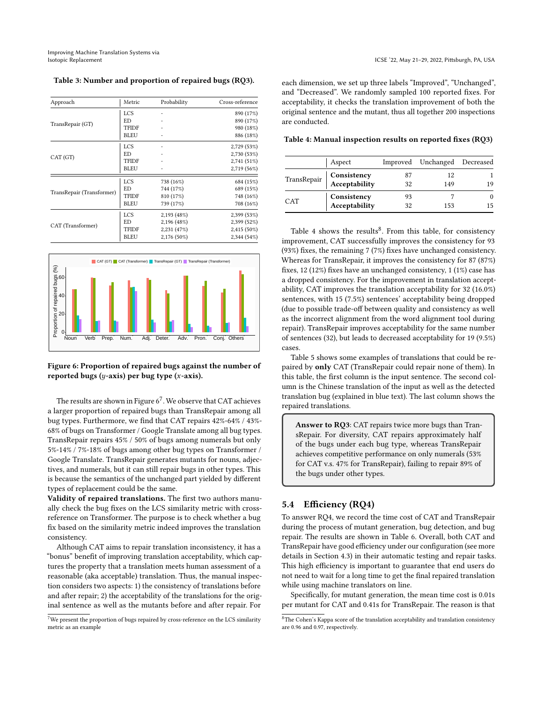<span id="page-8-0"></span>Table 3: Number and proportion of repaired bugs (RQ3).

| Approach                  | Metric       | Probability | Cross-reference |
|---------------------------|--------------|-------------|-----------------|
|                           | <b>LCS</b>   |             | 890 (17%)       |
|                           | ED           |             | 890 (17%)       |
| TransRepair (GT)          | <b>TFIDF</b> |             | 980 (18%)       |
|                           | <b>BLEU</b>  |             | 886 (18%)       |
|                           | <b>LCS</b>   |             | 2,729 (53%)     |
| CAT(GT)                   | ED           |             | 2,730 (53%)     |
|                           | <b>TFIDF</b> |             | 2,741 (51%)     |
|                           | <b>BLEU</b>  |             | 2,719 (56%)     |
|                           | <b>LCS</b>   | 738 (16%)   | 684 (15%)       |
|                           | ED           | 744 (17%)   | 689 (15%)       |
| TransRepair (Transformer) | <b>TFIDF</b> | 810 (17%)   | 748 (16%)       |
|                           | <b>BLEU</b>  | 739 (17%)   | 708 (16%)       |
|                           | <b>LCS</b>   | 2,193 (48%) | 2,399 (53%)     |
| CAT (Transformer)         | ED           | 2,196 (48%) | 2,399 (52%)     |
|                           | <b>TFIDF</b> | 2,231(47%)  | 2,415 (50%)     |
|                           | <b>BLEU</b>  | 2,176 (50%) | 2,344(54%)      |

<span id="page-8-1"></span>

#### Figure 6: Proportion of repaired bugs against the number of reported bugs ( $y$ -axis) per bug type ( $x$ -axis).

The results are shown in Figure  $6^7$  $6^7$  . We observe that CAT achieves a larger proportion of repaired bugs than TransRepair among all bug types. Furthermore, we find that CAT repairs 42%-64% / 43%- 68% of bugs on Transformer / Google Translate among all bug types. TransRepair repairs 45% / 50% of bugs among numerals but only 5%-14% / 7%-18% of bugs among other bug types on Transformer / Google Translate. TransRepair generates mutants for nouns, adjectives, and numerals, but it can still repair bugs in other types. This is because the semantics of the unchanged part yielded by different types of replacement could be the same.

Validity of repaired translations. The first two authors manually check the bug fixes on the LCS similarity metric with crossreference on Transformer. The purpose is to check whether a bug fix based on the similarity metric indeed improves the translation consistency.

Although CAT aims to repair translation inconsistency, it has a "bonus" benefit of improving translation acceptability, which captures the property that a translation meets human assessment of a reasonable (aka acceptable) translation. Thus, the manual inspection considers two aspects: 1) the consistency of translations before and after repair; 2) the acceptability of the translations for the original sentence as well as the mutants before and after repair. For

each dimension, we set up three labels "Improved", "Unchanged", and "Decreased". We randomly sampled 100 reported fixes. For acceptability, it checks the translation improvement of both the original sentence and the mutant, thus all together 200 inspections are conducted.

<span id="page-8-3"></span>Table 4: Manual inspection results on reported fixes (RQ3)

|     | Aspect                                   |          | Improved Unchanged Decreased |  |
|-----|------------------------------------------|----------|------------------------------|--|
|     | TransRepair Consistency<br>Acceptability | 87<br>32 | 12<br>149                    |  |
| CAT | Consistency<br>Acceptability             | 93<br>32 | 153                          |  |

Table [4](#page-8-3) shows the results<sup>[8](#page-8-4)</sup>. From this table, for consistency improvement, CAT successfully improves the consistency for 93 (93%) fixes, the remaining 7 (7%) fixes have unchanged consistency. Whereas for TransRepair, it improves the consistency for 87 (87%) fixes, 12 (12%) fixes have an unchanged consistency, 1 (1%) case has a dropped consistency. For the improvement in translation acceptability, CAT improves the translation acceptability for 32 (16.0%) sentences, with 15 (7.5%) sentences' acceptability being dropped (due to possible trade-off between quality and consistency as well as the incorrect alignment from the word alignment tool during repair). TransRepair improves acceptability for the same number of sentences (32), but leads to decreased acceptability for 19 (9.5%) cases.

Table [5](#page-9-1) shows some examples of translations that could be repaired by only CAT (TransRepair could repair none of them). In this table, the first column is the input sentence. The second column is the Chinese translation of the input as well as the detected translation bug (explained in blue text). The last column shows the repaired translations.

Answer to RQ3: CAT repairs twice more bugs than TransRepair. For diversity, CAT repairs approximately half of the bugs under each bug type, whereas TransRepair achieves competitive performance on only numerals (53% for CAT v.s. 47% for TransRepair), failing to repair 89% of the bugs under other types.

# 5.4 Efficiency (RQ4)

To answer RQ4, we record the time cost of CAT and TransRepair during the process of mutant generation, bug detection, and bug repair. The results are shown in Table [6.](#page-9-2) Overall, both CAT and TransRepair have good efficiency under our configuration (see more details in Section [4.3\)](#page-5-1) in their automatic testing and repair tasks. This high efficiency is important to guarantee that end users do not need to wait for a long time to get the final repaired translation while using machine translators on line.

Specifically, for mutant generation, the mean time cost is 0.01s per mutant for CAT and 0.41s for TransRepair. The reason is that

<span id="page-8-2"></span> $^7\rm{We}$  present the proportion of bugs repaired by cross-reference on the LCS similarity metric as an example

<span id="page-8-4"></span> ${}^{8}{\rm The}$  Cohen's Kappa score of the translation acceptability and translation consistency are 0.96 and 0.97, respectively.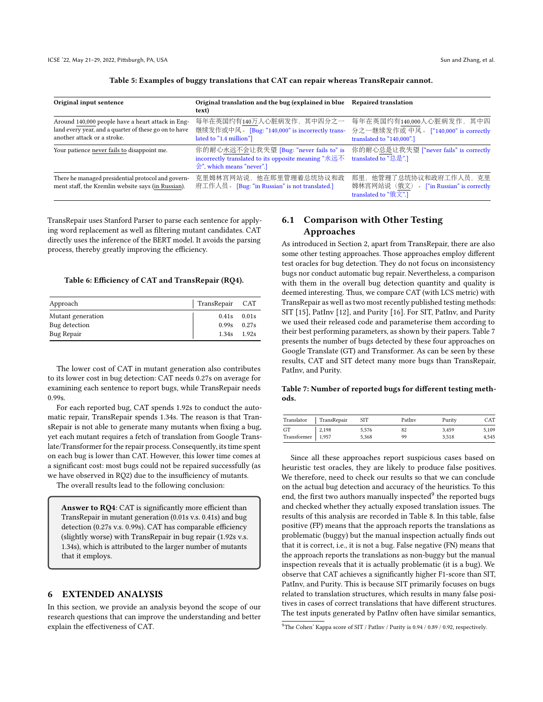<span id="page-9-1"></span>

| Original input sentence                                                                                                                   | Original translation and the bug (explained in blue<br>text)                                                                                  | <b>Repaired translation</b>                                                                    |
|-------------------------------------------------------------------------------------------------------------------------------------------|-----------------------------------------------------------------------------------------------------------------------------------------------|------------------------------------------------------------------------------------------------|
| Around 140,000 people have a heart attack in Eng-<br>land every year, and a quarter of these go on to have<br>another attack or a stroke. | 每年在英国约有140万人心脏病发作,其中四分之一<br>继续发作或中风。 [Bug: "140,000" is incorrectly trans-<br>lated to "1.4 million"]                                         | 每年在英国约有140,000人心脏病发作, 其中四<br>分之一继续发作或 中风。 ["140,000" is correctly<br>translated to "140,000".] |
| Your patience never fails to disappoint me.                                                                                               | 你的耐心永远不会让我失望 [Bug: "never fails to" is<br>incorrectly translated to its opposite meaning "永远不<br>$\hat{\mathcal{L}}$ ", which means "never".] | 你的耐心总是让我失望 ["never fails" is correctly<br>translated to "总是".]                                 |
| There he managed presidential protocol and govern-<br>ment staff, the Kremlin website says (in Russian).                                  | 克里姆林宫网站说, 他在那里管理着总统协议和政<br>府工作人员。 [Bug: "in Russian" is not translated.]                                                                      | 那里,他管理了总统协议和政府工作人员,克里<br>姆林宫网站说(俄文)。 ["in Russian" is correctly<br>translated to "俄文".]        |

Table 5: Examples of buggy translations that CAT can repair whereas TransRepair cannot.

TransRepair uses Stanford Parser to parse each sentence for applying word replacement as well as filtering mutant candidates. CAT directly uses the inference of the BERT model. It avoids the parsing process, thereby greatly improving the efficiency.

#### <span id="page-9-2"></span>Table 6: Efficiency of CAT and TransRepair (RQ4).

| Approach          | TransRepair CAT |       |
|-------------------|-----------------|-------|
| Mutant generation | 0.41s           | 0.01s |
| Bug detection     | 0.99s           | 0.27s |
| Bug Repair        | 1.34s           | 1.92s |

The lower cost of CAT in mutant generation also contributes to its lower cost in bug detection: CAT needs 0.27s on average for examining each sentence to report bugs, while TransRepair needs 0.99s.

For each reported bug, CAT spends 1.92s to conduct the automatic repair, TransRepair spends 1.34s. The reason is that TransRepair is not able to generate many mutants when fixing a bug, yet each mutant requires a fetch of translation from Google Translate/Transformer for the repair process. Consequently, its time spent on each bug is lower than CAT. However, this lower time comes at a significant cost: most bugs could not be repaired successfully (as we have observed in RQ2) due to the insufficiency of mutants.

The overall results lead to the following conclusion:

Answer to RQ4: CAT is significantly more efficient than TransRepair in mutant generation (0.01s v.s. 0.41s) and bug detection (0.27s v.s. 0.99s). CAT has comparable efficiency (slightly worse) with TransRepair in bug repair (1.92s v.s. 1.34s), which is attributed to the larger number of mutants that it employs.

# 6 EXTENDED ANALYSIS

In this section, we provide an analysis beyond the scope of our research questions that can improve the understanding and better explain the effectiveness of CAT.

# <span id="page-9-0"></span>6.1 Comparison with Other Testing Approaches

As introduced in Section [2,](#page-1-2) apart from TransRepair, there are also some other testing approaches. Those approaches employ different test oracles for bug detection. They do not focus on inconsistency bugs nor conduct automatic bug repair. Nevertheless, a comparison with them in the overall bug detection quantity and quality is deemed interesting. Thus, we compare CAT (with LCS metric) with TransRepair as well as two most recently published testing methods: SIT [\[15\]](#page-11-5), PatInv [\[12\]](#page-11-6), and Purity [\[16\]](#page-11-15). For SIT, PatInv, and Purity we used their released code and parameterise them according to their best performing parameters, as shown by their papers. Table [7](#page-9-3) presents the number of bugs detected by these four approaches on Google Translate (GT) and Transformer. As can be seen by these results, CAT and SIT detect many more bugs than TransRepair, PatInv, and Purity.

<span id="page-9-3"></span>Table 7: Number of reported bugs for different testing methods.

|                          | Translator TransRepair | <b>SIT</b> | PatIny | Purity | CAT   |
|--------------------------|------------------------|------------|--------|--------|-------|
| GT                       | 2,198                  | 5,576      | 82     | 3.459  | 5.109 |
| $Transformer \mid 1,957$ |                        | 5.368      | 99     | 3.518  | 4.545 |

Since all these approaches report suspicious cases based on heuristic test oracles, they are likely to produce false positives. We therefore, need to check our results so that we can conclude on the actual bug detection and accuracy of the heuristics. To this end, the first two authors manually inspected<sup>[9](#page-9-4)</sup> the reported bugs and checked whether they actually exposed translation issues. The results of this analysis are recorded in Table [8.](#page-10-1) In this table, false positive (FP) means that the approach reports the translations as problematic (buggy) but the manual inspection actually finds out that it is correct, i.e., it is not a bug. False negative (FN) means that the approach reports the translations as non-buggy but the manual inspection reveals that it is actually problematic (it is a bug). We observe that CAT achieves a significantly higher F1-score than SIT, PatInv, and Purity. This is because SIT primarily focuses on bugs related to translation structures, which results in many false positives in cases of correct translations that have different structures. The test inputs generated by PatInv often have similar semantics,

<span id="page-9-4"></span> $^{9}$ The Cohen' Kappa score of SIT / PatInv / Purity is 0.94 / 0.89 / 0.92, respectively.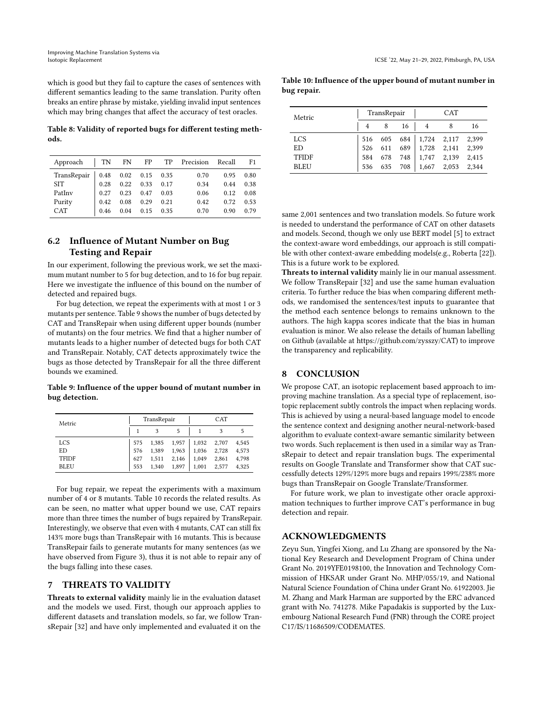which is good but they fail to capture the cases of sentences with different semantics leading to the same translation. Purity often breaks an entire phrase by mistake, yielding invalid input sentences which may bring changes that affect the accuracy of test oracles.

<span id="page-10-1"></span>Table 8: Validity of reported bugs for different testing methods.

| Approach    | TN   | FN   | FP          | TP   | Precision | Recall | F1   |
|-------------|------|------|-------------|------|-----------|--------|------|
| TransRepair | 0.48 |      | $0.02$ 0.15 | 0.35 | 0.70      | 0.95   | 0.80 |
| SIT.        | 0.28 | 0.22 | 0.33        | 0.17 | 0.34      | 0.44   | 0.38 |
| PatInv      | 0.27 | 0.23 | 0.47        | 0.03 | 0.06      | 0.12   | 0.08 |
| Purity      | 0.42 | 0.08 | 0.29        | 0.21 | 0.42      | 0.72   | 0.53 |
| CAT         | 0.46 | 0.04 | 0.15        | 0.35 | 0.70      | 0.90   | 0.79 |

# <span id="page-10-0"></span>6.2 Influence of Mutant Number on Bug Testing and Repair

In our experiment, following the previous work, we set the maximum mutant number to 5 for bug detection, and to 16 for bug repair. Here we investigate the influence of this bound on the number of detected and repaired bugs.

For bug detection, we repeat the experiments with at most 1 or 3 mutants per sentence. Table [9](#page-10-2) shows the number of bugs detected by CAT and TransRepair when using different upper bounds (number of mutants) on the four metrics. We find that a higher number of mutants leads to a higher number of detected bugs for both CAT and TransRepair. Notably, CAT detects approximately twice the bugs as those detected by TransRepair for all the three different bounds we examined.

<span id="page-10-2"></span>Table 9: Influence of the upper bound of mutant number in bug detection.

| Metric       |     | TransRepair |       | CAT   |       |       |
|--------------|-----|-------------|-------|-------|-------|-------|
|              |     | 3           | 5     |       | 3     | 5     |
| <b>LCS</b>   | 575 | 1,385       | 1.957 | 1.032 | 2.707 | 4,545 |
| ED           | 576 | 1,389       | 1,963 | 1,036 | 2,728 | 4,573 |
| <b>TFIDF</b> | 627 | 1,511       | 2,146 | 1.049 | 2,861 | 4,798 |
| <b>BLEU</b>  | 553 | 1.340       | 1,897 | 1.001 | 2.577 | 4,325 |

For bug repair, we repeat the experiments with a maximum number of 4 or 8 mutants. Table [10](#page-10-3) records the related results. As can be seen, no matter what upper bound we use, CAT repairs more than three times the number of bugs repaired by TransRepair. Interestingly, we observe that even with 4 mutants, CAT can still fix 143% more bugs than TransRepair with 16 mutants. This is because TransRepair fails to generate mutants for many sentences (as we have observed from Figure [3\)](#page-6-0), thus it is not able to repair any of the bugs falling into these cases.

# 7 THREATS TO VALIDITY

Threats to external validity mainly lie in the evaluation dataset and the models we used. First, though our approach applies to different datasets and translation models, so far, we follow TransRepair [\[32\]](#page-11-4) and have only implemented and evaluated it on the

<span id="page-10-3"></span>Table 10: Influence of the upper bound of mutant number in bug repair.

| Metric       |     | TransRepair |         | CAT         |       |       |
|--------------|-----|-------------|---------|-------------|-------|-------|
|              |     |             | 16      |             |       | 16    |
| <b>LCS</b>   | 516 |             | 605 684 | 1,724 2,117 |       | 2,399 |
| ED           | 526 | 611         | 689     | 1,728       | 2,141 | 2,399 |
| <b>TFIDF</b> | 584 | 678         | 748     | 1,747       | 2,139 | 2.415 |
| <b>BLEU</b>  | 536 | 635         | 708     | 1,667       | 2,053 | 2.344 |

same 2,001 sentences and two translation models. So future work is needed to understand the performance of CAT on other datasets and models. Second, though we only use BERT model [\[5\]](#page-11-17) to extract the context-aware word embeddings, our approach is still compatible with other context-aware embedding models(e.g., Roberta [\[22\]](#page-11-37)). This is a future work to be explored.

Threats to internal validity mainly lie in our manual assessment. We follow TransRepair [\[32\]](#page-11-4) and use the same human evaluation criteria. To further reduce the bias when comparing different methods, we randomised the sentences/test inputs to guarantee that the method each sentence belongs to remains unknown to the authors. The high kappa scores indicate that the bias in human evaluation is minor. We also release the details of human labelling on Github (available at [https://github.com/zysszy/CAT\)](https://github.com/zysszy/CAT) to improve the transparency and replicability.

# 8 CONCLUSION

We propose CAT, an isotopic replacement based approach to improving machine translation. As a special type of replacement, isotopic replacement subtly controls the impact when replacing words. This is achieved by using a neural-based language model to encode the sentence context and designing another neural-network-based algorithm to evaluate context-aware semantic similarity between two words. Such replacement is then used in a similar way as TransRepair to detect and repair translation bugs. The experimental results on Google Translate and Transformer show that CAT successfully detects 129%/129% more bugs and repairs 199%/238% more bugs than TransRepair on Google Translate/Transformer.

For future work, we plan to investigate other oracle approximation techniques to further improve CAT's performance in bug detection and repair.

# ACKNOWLEDGMENTS

Zeyu Sun, Yingfei Xiong, and Lu Zhang are sponsored by the National Key Research and Development Program of China under Grant No. 2019YFE0198100, the Innovation and Technology Commission of HKSAR under Grant No. MHP/055/19, and National Natural Science Foundation of China under Grant No. 61922003. Jie M. Zhang and Mark Harman are supported by the ERC advanced grant with No. 741278. Mike Papadakis is supported by the Luxembourg National Research Fund (FNR) through the CORE project C17/IS/11686509/CODEMATES.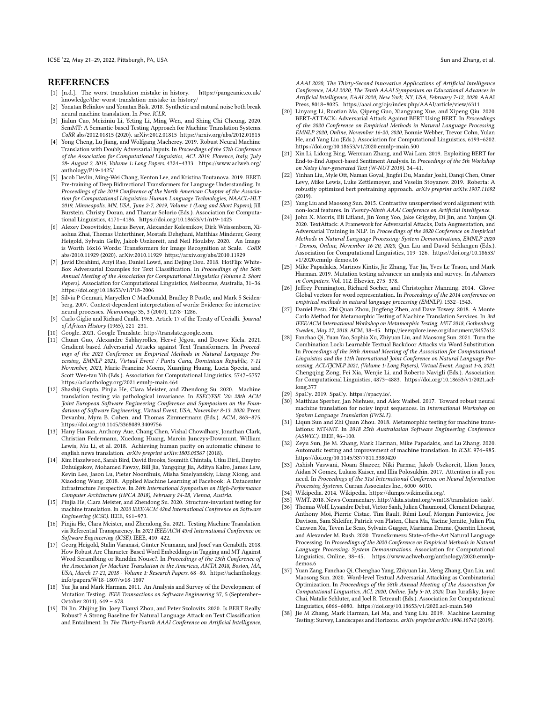### **REFERENCES**

- <span id="page-11-3"></span>[1] [n.d.]. The worst translation mistake in history. [https://pangeanic.co.uk/](https://pangeanic.co.uk/knowledge/the-worst-translation-mistake-in-history/) [knowledge/the-worst-translation-mistake-in-history/](https://pangeanic.co.uk/knowledge/the-worst-translation-mistake-in-history/)
- <span id="page-11-11"></span>[2] Yonatan Belinkov and Yonatan Bisk. 2018. Synthetic and natural noise both break neural machine translation. In Proc. ICLR.
- <span id="page-11-13"></span>[3] Jialun Cao, Meiziniu Li, Yeting Li, Ming Wen, and Shing-Chi Cheung. 2020. SemMT: A Semantic-based Testing Approach for Machine Translation Systems. CoRR abs/2012.01815 (2020). arXiv[:2012.01815 https://arxiv.org/abs/2012.01815](https://arxiv.org/abs/2012.01815)
- <span id="page-11-27"></span>[4] Yong Cheng, Lu Jiang, and Wolfgang Macherey. 2019. Robust Neural Machine Translation with Doubly Adversarial Inputs. In Proceedings of the 57th Conference of the Association for Computational Linguistics, ACL 2019, Florence, Italy, July 28- August 2, 2019, Volume 1: Long Papers. 4324–4333. [https://www.aclweb.org/](https://www.aclweb.org/anthology/P19-1425/) [anthology/P19-1425/](https://www.aclweb.org/anthology/P19-1425/)
- <span id="page-11-17"></span>[5] Jacob Devlin, Ming-Wei Chang, Kenton Lee, and Kristina Toutanova. 2019. BERT: Pre-training of Deep Bidirectional Transformers for Language Understanding. In Proceedings of the 2019 Conference of the North American Chapter of the Association for Computational Linguistics: Human Language Technologies, NAACL-HLT 2019, Minneapolis, MN, USA, June 2-7, 2019, Volume 1 (Long and Short Papers), Jill Burstein, Christy Doran, and Thamar Solorio (Eds.). Association for Computational Linguistics, 4171–4186.<https://doi.org/10.18653/v1/n19-1423>
- <span id="page-11-33"></span>[6] Alexey Dosovitskiy, Lucas Beyer, Alexander Kolesnikov, Dirk Weissenborn, Xiaohua Zhai, Thomas Unterthiner, Mostafa Dehghani, Matthias Minderer, Georg Heigold, Sylvain Gelly, Jakob Uszkoreit, and Neil Houlsby. 2020. An Image is Worth 16x16 Words: Transformers for Image Recognition at Scale. CoRR abs/2010.11929 (2020). arXiv[:2010.11929 https://arxiv.org/abs/2010.11929](https://arxiv.org/abs/2010.11929)
- <span id="page-11-28"></span>[7] Javid Ebrahimi, Anyi Rao, Daniel Lowd, and Dejing Dou. 2018. HotFlip: White-Box Adversarial Examples for Text Classification. In Proceedings of the 56th Annual Meeting of the Association for Computational Linguistics (Volume 2: Short Papers). Association for Computational Linguistics, Melbourne, Australia, 31–36. <https://doi.org/10.18653/v1/P18-2006>
- <span id="page-11-7"></span>[8] Silvia P Gennari, Maryellen C MacDonald, Bradley R Postle, and Mark S Seidenberg. 2007. Context-dependent interpretation of words: Evidence for interactive neural processes. Neuroimage 35, 3 (2007), 1278–1286.
- <span id="page-11-2"></span>[9] Carlo Giglio and Richard Caulk. 1965. Article 17 of the Treaty of Uccialli. Journal of African History (1965), 221–231.
- <span id="page-11-8"></span>[10] Google. 2021. Google Translate. [http://translate.google.com.](http://translate.google.com)
- <span id="page-11-20"></span>[11] Chuan Guo, Alexandre Sablayrolles, Hervé Jégou, and Douwe Kiela. 2021. Gradient-based Adversarial Attacks against Text Transformers. In Proceedings of the 2021 Conference on Empirical Methods in Natural Language Processing, EMNLP 2021, Virtual Event / Punta Cana, Dominican Republic, 7-11 November, 2021, Marie-Francine Moens, Xuanjing Huang, Lucia Specia, and Scott Wen-tau Yih (Eds.). Association for Computational Linguistics, 5747–5757. <https://aclanthology.org/2021.emnlp-main.464>
- <span id="page-11-6"></span>[12] Shashij Gupta, Pinjia He, Clara Meister, and Zhendong Su. 2020. Machine translation testing via pathological invariance. In ESEC/FSE '20: 28th ACM Joint European Software Engineering Conference and Symposium on the Foundations of Software Engineering, Virtual Event, USA, November 8-13, 2020, Prem Devanbu, Myra B. Cohen, and Thomas Zimmermann (Eds.). ACM, 863–875. <https://doi.org/10.1145/3368089.3409756>
- <span id="page-11-36"></span>[13] Hany Hassan, Anthony Aue, Chang Chen, Vishal Chowdhary, Jonathan Clark, Christian Federmann, Xuedong Huang, Marcin Junczys-Dowmunt, William Lewis, Mu Li, et al. 2018. Achieving human parity on automatic chinese to english news translation. arXiv preprint arXiv:1803.05567 (2018).
- <span id="page-11-0"></span>[14] Kim Hazelwood, Sarah Bird, David Brooks, Soumith Chintala, Utku Diril, Dmytro Dzhulgakov, Mohamed Fawzy, Bill Jia, Yangqing Jia, Aditya Kalro, James Law, Kevin Lee, Jason Lu, Pieter Noordhuis, Misha Smelyanskiy, Liang Xiong, and Xiaodong Wang. 2018. Applied Machine Learning at Facebook: A Datacenter Infrastructure Perspective. In 24th International Symposium on High-Performance Computer Architecture (HPCA 2018), February 24-28, Vienna, Austria.
- <span id="page-11-5"></span>[15] Pinjia He, Clara Meister, and Zhendong Su. 2020. Structure-invariant testing for machine translation. In 2020 IEEE/ACM 42nd International Conference on Software Engineering (ICSE). IEEE, 961–973.
- <span id="page-11-15"></span>[16] Pinjia He, Clara Meister, and Zhendong Su. 2021. Testing Machine Translation via Referential Transparency. In 2021 IEEE/ACM 43rd International Conference on Software Engineering (ICSE). IEEE, 410–422.
- <span id="page-11-10"></span>[17] Georg Heigold, Stalin Varanasi, Günter Neumann, and Josef van Genabith. 2018. How Robust Are Character-Based Word Embeddings in Tagging and MT Against Wrod Scramlbing or Randdm Nouse?. In Proceedings of the 13th Conference of the Association for Machine Translation in the Americas, AMTA 2018, Boston, MA, USA, March 17-21, 2018 - Volume 1: Research Papers. 68–80. [https://aclanthology.](https://aclanthology.info/papers/W18-1807/w18-1807) [info/papers/W18-1807/w18-1807](https://aclanthology.info/papers/W18-1807/w18-1807)
- <span id="page-11-30"></span>[18] Yue Jia and Mark Harman. 2011. An Analysis and Survey of the Development of Mutation Testing. IEEE Transactions on Software Engineering 37, 5 (September– October 2011), 649 – 678.
- <span id="page-11-21"></span>[19] Di Jin, Zhijing Jin, Joey Tianyi Zhou, and Peter Szolovits. 2020. Is BERT Really Robust? A Strong Baseline for Natural Language Attack on Text Classification and Entailment. In The Thirty-Fourth AAAI Conference on Artificial Intelligence,

AAAI 2020, The Thirty-Second Innovative Applications of Artificial Intelligence Conference, IAAI 2020, The Tenth AAAI Symposium on Educational Advances in Artificial Intelligence, EAAI 2020, New York, NY, USA, February 7-12, 2020. AAAI Press, 8018–8025.<https://aaai.org/ojs/index.php/AAAI/article/view/6311>

- <span id="page-11-22"></span>[20] Linyang Li, Ruotian Ma, Qipeng Guo, Xiangyang Xue, and Xipeng Qiu. 2020. BERT-ATTACK: Adversarial Attack Against BERT Using BERT. In Proceedings of the 2020 Conference on Empirical Methods in Natural Language Processing, EMNLP 2020, Online, November 16-20, 2020, Bonnie Webber, Trevor Cohn, Yulan He, and Yang Liu (Eds.). Association for Computational Linguistics, 6193–6202. <https://doi.org/10.18653/v1/2020.emnlp-main.500>
- <span id="page-11-29"></span>[21] Xin Li, Lidong Bing, Wenxuan Zhang, and Wai Lam. 2019. Exploiting BERT for End-to-End Aspect-based Sentiment Analysis. In Proceedings of the 5th Workshop on Noisy User-generated Text (W-NUT 2019). 34–41.
- <span id="page-11-37"></span>[22] Yinhan Liu, Myle Ott, Naman Goyal, Jingfei Du, Mandar Joshi, Danqi Chen, Omer Levy, Mike Lewis, Luke Zettlemoyer, and Veselin Stoyanov. 2019. Roberta: A robustly optimized bert pretraining approach. arXiv preprint arXiv:1907.11692 (2019).
- <span id="page-11-32"></span>[23] Yang Liu and Maosong Sun. 2015. Contrastive unsupervised word alignment with non-local features. In Twenty-Ninth AAAI Conference on Artificial Intelligence.
- <span id="page-11-23"></span>[24] John X. Morris, Eli Lifland, Jin Yong Yoo, Jake Grigsby, Di Jin, and Yanjun Qi. 2020. TextAttack: A Framework for Adversarial Attacks, Data Augmentation, and Adversarial Training in NLP. In Proceedings of the 2020 Conference on Empirical Methods in Natural Language Processing: System Demonstrations, EMNLP 2020 - Demos, Online, November 16-20, 2020, Qun Liu and David Schlangen (Eds.). Association for Computational Linguistics, 119–126. [https://doi.org/10.18653/](https://doi.org/10.18653/v1/2020.emnlp-demos.16) [v1/2020.emnlp-demos.16](https://doi.org/10.18653/v1/2020.emnlp-demos.16)
- <span id="page-11-31"></span>[25] Mike Papadakis, Marinos Kintis, Jie Zhang, Yue Jia, Yves Le Traon, and Mark Harman. 2019. Mutation testing advances: an analysis and survey. In Advances in Computers. Vol. 112. Elsevier, 275–378.
- <span id="page-11-18"></span>[26] Jeffrey Pennington, Richard Socher, and Christopher Manning. 2014. Glove: Global vectors for word representation. In Proceedings of the 2014 conference on empirical methods in natural language processing (EMNLP). 1532–1543.
- <span id="page-11-12"></span>[27] Daniel Pesu, Zhi Quan Zhou, Jingfeng Zhen, and Dave Towey. 2018. A Monte Carlo Method for Metamorphic Testing of Machine Translation Services. In 3rd IEEE/ACM International Workshop on Metamorphic Testing, MET 2018, Gothenburg, Sweden, May 27, 2018. ACM, 38–45.<http://ieeexplore.ieee.org/document/8457612>
- <span id="page-11-24"></span>[28] Fanchao Qi, Yuan Yao, Sophia Xu, Zhiyuan Liu, and Maosong Sun. 2021. Turn the Combination Lock: Learnable Textual Backdoor Attacks via Word Substitution. In Proceedings of the 59th Annual Meeting of the Association for Computational Linguistics and the 11th International Joint Conference on Natural Language Processing, ACL/IJCNLP 2021, (Volume 1: Long Papers), Virtual Event, August 1-6, 2021, Chengqing Zong, Fei Xia, Wenjie Li, and Roberto Navigli (Eds.). Association for Computational Linguistics, 4873–4883. [https://doi.org/10.18653/v1/2021.acl](https://doi.org/10.18653/v1/2021.acl-long.377)[long.377](https://doi.org/10.18653/v1/2021.acl-long.377)
- <span id="page-11-19"></span>[29] SpaCy. 2019. SpaCy. [https://spacy.io/.](https://spacy.io/)
- <span id="page-11-26"></span>Matthias Sperber, Jan Niehues, and Alex Waibel. 2017. Toward robust neural machine translation for noisy input sequences. In International Workshop on Spoken Language Translation (IWSLT).
- <span id="page-11-16"></span>[31] Liqun Sun and Zhi Quan Zhou. 2018. Metamorphic testing for machine translations: MT4MT. In 2018 25th Australasian Software Engineering Conference (ASWEC). IEEE, 96–100.
- <span id="page-11-4"></span>[32] Zeyu Sun, Jie M. Zhang, Mark Harman, Mike Papadakis, and Lu Zhang. 2020. Automatic testing and improvement of machine translation. In ICSE. 974–985. <https://doi.org/10.1145/3377811.3380420>
- <span id="page-11-9"></span>[33] Ashish Vaswani, Noam Shazeer, Niki Parmar, Jakob Uszkoreit, Llion Jones, Aidan N Gomez, Łukasz Kaiser, and Illia Polosukhin. 2017. Attention is all you need. In Proceedings of the 31st International Conference on Neural Information Processing Systems. Curran Associates Inc., 6000–6010.
- <span id="page-11-1"></span>[34] Wikipedia. 2014. Wikipedia. [https://dumps.wikimedia.org/.](https://dumps.wikimedia.org/)
- <span id="page-11-35"></span>[35] WMT. 2018. News-Commentary. [http://data.statmt.org/wmt18/translation-task/.](http://data.statmt.org/wmt18/translation-task/)
- <span id="page-11-34"></span>[36] Thomas Wolf, Lysandre Debut, Victor Sanh, Julien Chaumond, Clement Delangue, Anthony Moi, Pierric Cistac, Tim Rault, Rémi Louf, Morgan Funtowicz, Joe Davison, Sam Shleifer, Patrick von Platen, Clara Ma, Yacine Jernite, Julien Plu, Canwen Xu, Teven Le Scao, Sylvain Gugger, Mariama Drame, Quentin Lhoest, and Alexander M. Rush. 2020. Transformers: State-of-the-Art Natural Language Processing. In Proceedings of the 2020 Conference on Empirical Methods in Natural Language Processing: System Demonstrations. Association for Computational Linguistics, Online, 38–45. [https://www.aclweb.org/anthology/2020.emnlp](https://www.aclweb.org/anthology/2020.emnlp-demos.6)[demos.6](https://www.aclweb.org/anthology/2020.emnlp-demos.6)
- <span id="page-11-25"></span>[37] Yuan Zang, Fanchao Qi, Chenghao Yang, Zhiyuan Liu, Meng Zhang, Qun Liu, and Maosong Sun. 2020. Word-level Textual Adversarial Attacking as Combinatorial Optimization. In Proceedings of the 58th Annual Meeting of the Association for Computational Linguistics, ACL 2020, Online, July 5-10, 2020, Dan Jurafsky, Joyce Chai, Natalie Schluter, and Joel R. Tetreault (Eds.). Association for Computational Linguistics, 6066–6080.<https://doi.org/10.18653/v1/2020.acl-main.540>
- <span id="page-11-14"></span>[38] Jie M Zhang, Mark Harman, Lei Ma, and Yang Liu. 2019. Machine Learning Testing: Survey, Landscapes and Horizons. arXiv preprint arXiv:1906.10742 (2019).